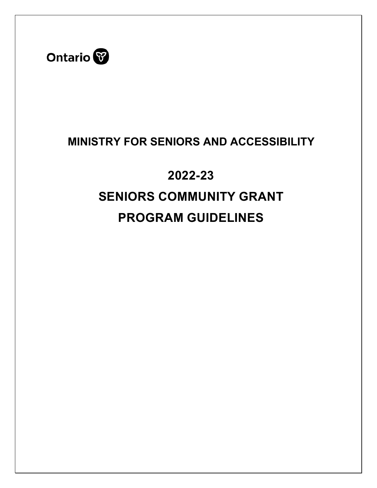

# **MINISTRY FOR SENIORS AND ACCESSIBILITY**

# **2022-23 SENIORS COMMUNITY GRANT PROGRAM GUIDELINES**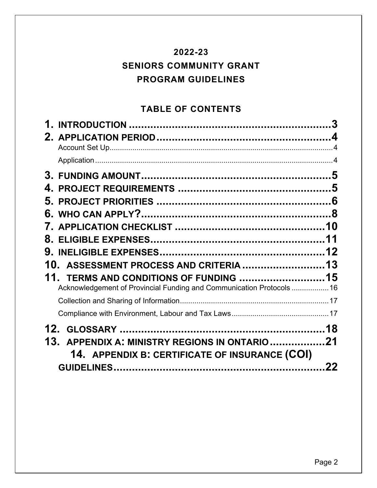## **2022-23 SENIORS COMMUNITY GRANT PROGRAM GUIDELINES**

## **TABLE OF CONTENTS**

|       |                                                                                                            | 3  |
|-------|------------------------------------------------------------------------------------------------------------|----|
|       |                                                                                                            |    |
|       |                                                                                                            |    |
| 3.    |                                                                                                            | 5  |
|       |                                                                                                            |    |
| 5.    |                                                                                                            |    |
| 6.    |                                                                                                            |    |
|       |                                                                                                            |    |
| 8.    |                                                                                                            |    |
| 9.    |                                                                                                            | 12 |
|       | 10. ASSESSMENT PROCESS AND CRITERIA  13                                                                    |    |
| $11-$ | TERMS AND CONDITIONS OF FUNDING 15<br>Acknowledgement of Provincial Funding and Communication Protocols 16 |    |
|       |                                                                                                            |    |
|       |                                                                                                            |    |
|       |                                                                                                            |    |
| 13.   | APPENDIX A: MINISTRY REGIONS IN ONTARIO21<br>14. APPENDIX B: CERTIFICATE OF INSURANCE (COI)                |    |
|       |                                                                                                            |    |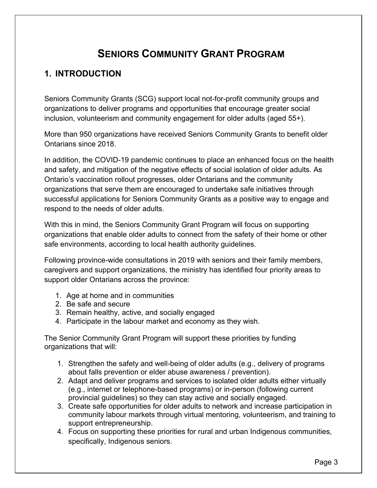# **SENIORS COMMUNITY GRANT PROGRAM**

## <span id="page-2-0"></span>**1. INTRODUCTION**

Seniors Community Grants (SCG) support local not-for-profit community groups and organizations to deliver programs and opportunities that encourage greater social inclusion, volunteerism and community engagement for older adults (aged 55+).

More than 950 organizations have received Seniors Community Grants to benefit older Ontarians since 2018.

In addition, the COVID-19 pandemic continues to place an enhanced focus on the health and safety, and mitigation of the negative effects of social isolation of older adults. As Ontario's vaccination rollout progresses, older Ontarians and the community organizations that serve them are encouraged to undertake safe initiatives through successful applications for Seniors Community Grants as a positive way to engage and respond to the needs of older adults.

With this in mind, the Seniors Community Grant Program will focus on supporting organizations that enable older adults to connect from the safety of their home or other safe environments, according to local health authority guidelines.

Following province-wide consultations in 2019 with seniors and their family members, caregivers and support organizations, the ministry has identified four priority areas to support older Ontarians across the province:

- 1. Age at home and in communities
- 2. Be safe and secure
- 3. Remain healthy, active, and socially engaged
- 4. Participate in the labour market and economy as they wish.

The Senior Community Grant Program will support these priorities by funding organizations that will:

- 1. Strengthen the safety and well-being of older adults (e.g., delivery of programs about falls prevention or elder abuse awareness / prevention).
- 2. Adapt and deliver programs and services to isolated older adults either virtually (e.g., internet or telephone-based programs) or in-person (following current provincial guidelines) so they can stay active and socially engaged.
- 3. Create safe opportunities for older adults to network and increase participation in community labour markets through virtual mentoring, volunteerism, and training to support entrepreneurship.
- 4. Focus on supporting these priorities for rural and urban Indigenous communities, specifically, Indigenous seniors.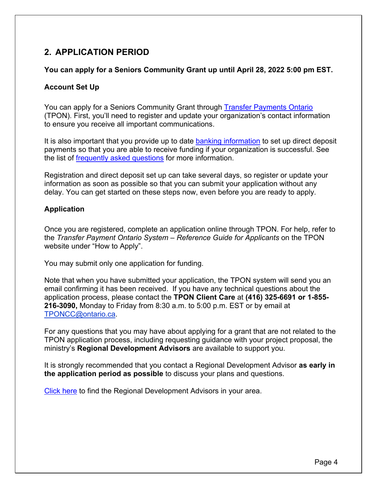## <span id="page-3-0"></span>**2. APPLICATION PERIOD**

#### **You can apply for a Seniors Community Grant up until April 28, 2022 5:00 pm EST.**

#### <span id="page-3-1"></span>**Account Set Up**

You can apply for a Seniors Community Grant through [Transfer Payments Ontario](https://www.ontario.ca/page/get-funding-ontario-government/%2520Payments%2520Ontario) (TPON). First, you'll need to register and update your organization's contact information to ensure you receive all important communications.

It is also important that you provide up to date [banking information](https://www.doingbusiness.mgs.gov.on.ca/mbs/psb/psb.nsf/en/directdeposit) to set up direct deposit payments so that you are able to receive funding if your organization is successful. See the list of [frequently asked questions](https://www.doingbusiness.mgs.gov.on.ca/mbs/psb/psb.nsf/EN/FAQs-ElectronicFundTransfer) for more information.

Registration and direct deposit set up can take several days, so register or update your information as soon as possible so that you can submit your application without any delay. You can get started on these steps now, even before you are ready to apply.

#### <span id="page-3-2"></span>**Application**

Once you are registered, complete an application online through TPON. For help, refer to the *Transfer Payment Ontario System – Reference Guide for Applicants* on the TPON website under "How to Apply".

You may submit only one application for funding.

Note that when you have submitted your application, the TPON system will send you an email confirming it has been received. If you have any technical questions about the application process, please contact the **TPON Client Care** at **(416) 325-6691 or 1-855- 216-3090,** Monday to Friday from 8:30 a.m. to 5:00 p.m. EST or by email at [TPONCC@ontario.ca.](mailto:TPONCC@ontario.ca)

For any questions that you may have about applying for a grant that are not related to the TPON application process, including requesting guidance with your project proposal, the ministry's **Regional Development Advisors** are available to support you.

It is strongly recommended that you contact a Regional Development Advisor **as early in the application period as possible** to discuss your plans and questions.

[Click here](http://www.mtc.gov.on.ca/en/about/RSB-Regional%20Office%20Contact%20List_EN%207Sep21%20rev.pdf) to find the Regional Development Advisors in your area.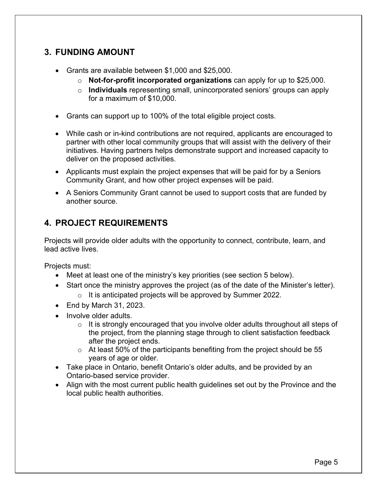## <span id="page-4-0"></span>**3. FUNDING AMOUNT**

- Grants are available between \$1,000 and \$25,000.
	- o **Not-for-profit incorporated organizations** can apply for up to \$25,000.
	- o **Individuals** representing small, unincorporated seniors' groups can apply for a maximum of \$10,000.
- Grants can support up to 100% of the total eligible project costs.
- While cash or in-kind contributions are not required, applicants are encouraged to partner with other local community groups that will assist with the delivery of their initiatives. Having partners helps demonstrate support and increased capacity to deliver on the proposed activities.
- Applicants must explain the project expenses that will be paid for by a Seniors Community Grant, and how other project expenses will be paid.
- A Seniors Community Grant cannot be used to support costs that are funded by another source.

## <span id="page-4-1"></span>**4. PROJECT REQUIREMENTS**

Projects will provide older adults with the opportunity to connect, contribute, learn, and lead active lives.

Projects must:

- Meet at least one of the ministry's key priorities (see section 5 below).
- Start once the ministry approves the project (as of the date of the Minister's letter).
	- o It is anticipated projects will be approved by Summer 2022.
- End by March 31, 2023.
- Involve older adults.
	- $\circ$  It is strongly encouraged that you involve older adults throughout all steps of the project, from the planning stage through to client satisfaction feedback after the project ends.
	- $\circ$  At least 50% of the participants benefiting from the project should be 55 years of age or older.
- Take place in Ontario, benefit Ontario's older adults, and be provided by an Ontario-based service provider.
- Align with the most current public health guidelines set out by the Province and the local public health authorities.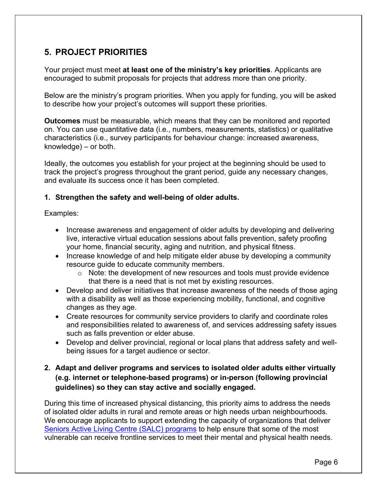## <span id="page-5-0"></span>**5. PROJECT PRIORITIES**

Your project must meet **at least one of the ministry's key priorities**. Applicants are encouraged to submit proposals for projects that address more than one priority.

Below are the ministry's program priorities. When you apply for funding, you will be asked to describe how your project's outcomes will support these priorities.

**Outcomes** must be measurable, which means that they can be monitored and reported on. You can use quantitative data (i.e., numbers, measurements, statistics) or qualitative characteristics (i.e., survey participants for behaviour change: increased awareness, knowledge) – or both.

Ideally, the outcomes you establish for your project at the beginning should be used to track the project's progress throughout the grant period, guide any necessary changes, and evaluate its success once it has been completed.

#### **1. Strengthen the safety and well-being of older adults.**

Examples:

- Increase awareness and engagement of older adults by developing and delivering live, interactive virtual education sessions about falls prevention, safety proofing your home, financial security, aging and nutrition, and physical fitness.
- Increase knowledge of and help mitigate elder abuse by developing a community resource guide to educate community members.
	- o Note: the development of new resources and tools must provide evidence that there is a need that is not met by existing resources.
- Develop and deliver initiatives that increase awareness of the needs of those aging with a disability as well as those experiencing mobility, functional, and cognitive changes as they age.
- Create resources for community service providers to clarify and coordinate roles and responsibilities related to awareness of, and services addressing safety issues such as falls prevention or elder abuse.
- Develop and deliver provincial, regional or local plans that address safety and wellbeing issues for a target audience or sector.

## **2. Adapt and deliver programs and services to isolated older adults either virtually (e.g. internet or telephone-based programs) or in-person (following provincial guidelines) so they can stay active and socially engaged.**

During this time of increased physical distancing, this priority aims to address the needs of isolated older adults in rural and remote areas or high needs urban neighbourhoods. We encourage applicants to support extending the capacity of organizations that deliver [Seniors Active Living Centre \(SALC\) programs](https://www.ontario.ca/page/find-seniors-active-living-centre-near-you) to help ensure that some of the most vulnerable can receive frontline services to meet their mental and physical health needs.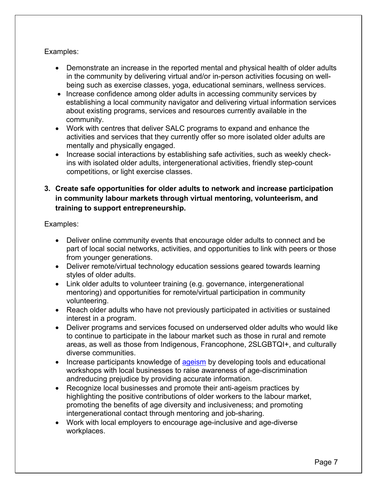#### Examples:

- Demonstrate an increase in the reported mental and physical health of older adults in the community by delivering virtual and/or in-person activities focusing on wellbeing such as exercise classes, yoga, educational seminars, wellness services.
- Increase confidence among older adults in accessing community services by establishing a local community navigator and delivering virtual information services about existing programs, services and resources currently available in the community.
- Work with centres that deliver SALC programs to expand and enhance the activities and services that they currently offer so more isolated older adults are mentally and physically engaged.
- Increase social interactions by establishing safe activities, such as weekly checkins with isolated older adults, intergenerational activities, friendly step-count competitions, or light exercise classes.

## **3. Create safe opportunities for older adults to network and increase participation in community labour markets through virtual mentoring, volunteerism, and training to support entrepreneurship.**

Examples:

- Deliver online community events that encourage older adults to connect and be part of local social networks, activities, and opportunities to link with peers or those from younger generations.
- Deliver remote/virtual technology education sessions geared towards learning styles of older adults.
- Link older adults to volunteer training (e.g. governance, intergenerational mentoring) and opportunities for remote/virtual participation in community volunteering.
- Reach older adults who have not previously participated in activities or sustained interest in a program.
- Deliver programs and services focused on underserved older adults who would like to continue to participate in the labour market such as those in rural and remote areas, as well as those from Indigenous, Francophone, 2SLGBTQI+, and culturally diverse communities.
- Increase participants knowledge of [ageism](#page-16-2) by developing tools and educational workshops with local businesses to raise awareness of age-discrimination andreducing prejudice by providing accurate information.
- Recognize local businesses and promote their anti-ageism practices by highlighting the positive contributions of older workers to the labour market, promoting the benefits of age diversity and inclusiveness; and promoting intergenerational contact through mentoring and job-sharing.
- Work with local employers to encourage age-inclusive and age-diverse workplaces.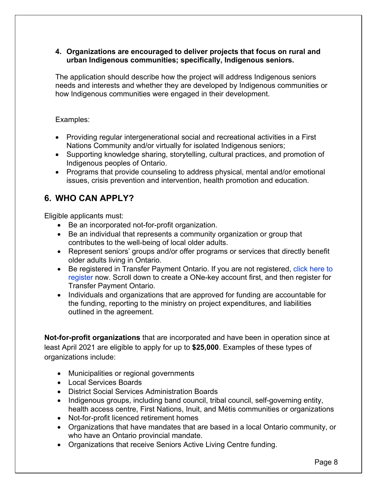#### **4. Organizations are encouraged to deliver projects that focus on rural and urban Indigenous communities; specifically, Indigenous seniors.**

The application should describe how the project will address Indigenous seniors needs and interests and whether they are developed by Indigenous communities or how Indigenous communities were engaged in their development.

#### Examples:

- Providing regular intergenerational social and recreational activities in a First Nations Community and/or virtually for isolated Indigenous seniors;
- Supporting knowledge sharing, storytelling, cultural practices, and promotion of Indigenous peoples of Ontario.
- Programs that provide counseling to address physical, mental and/or emotional issues, crisis prevention and intervention, health promotion and education.

## <span id="page-7-0"></span>**6. WHO CAN APPLY?**

Eligible applicants must:

- Be an incorporated not-for-profit organization.
- Be an individual that represents a community organization or group that contributes to the well-being of local older adults.
- Represent seniors' groups and/or offer programs or services that directly benefit older adults living in Ontario.
- Be registered in Transfer Payment Ontario. If you are not registered, [click here to](https://www.ontario.ca/page/get-funding-ontario-government/) [register](https://www.ontario.ca/page/get-funding-ontario-government/) now. Scroll down to create a ONe-key account first, and then register for Transfer Payment Ontario.
- Individuals and organizations that are approved for funding are accountable for the funding, reporting to the ministry on project expenditures, and liabilities outlined in the agreement.

**Not-for-profit organizations** that are incorporated and have been in operation since at least April 2021 are eligible to apply for up to **\$25,000**. Examples of these types of organizations include:

- Municipalities or regional governments
- Local Services Boards
- District Social Services Administration Boards
- Indigenous groups, including band council, tribal council, self-governing entity, health access centre, First Nations, Inuit, and Métis communities or organizations
- Not-for-profit licenced retirement homes
- Organizations that have mandates that are based in a local Ontario community, or who have an Ontario provincial mandate.
- Organizations that receive [Seniors Active Living Centre](https://www.ontario.ca/page/find-seniors-active-living-centre-near-you) funding.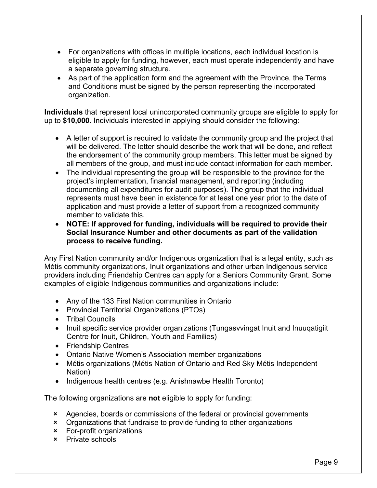- For organizations with offices in multiple locations, each individual location is eligible to apply for funding, however, each must operate independently and have a separate governing structure.
- As part of the application form and the agreement with the Province, the Terms and Conditions must be signed by the person representing the incorporated organization.

**Individuals** that represent local unincorporated community groups are eligible to apply for up to **\$10,000**. Individuals interested in applying should consider the following:

- A letter of support is required to validate the community group and the project that will be delivered. The letter should describe the work that will be done, and reflect the endorsement of the community group members. This letter must be signed by all members of the group, and must include contact information for each member.
- The individual representing the group will be responsible to the province for the project's implementation, financial management, and reporting (including documenting all expenditures for audit purposes). The group that the individual represents must have been in existence for at least one year prior to the date of application and must provide a letter of support from a recognized community member to validate this.
- **NOTE: If approved for funding, individuals will be required to provide their Social Insurance Number and other documents as part of the validation process to receive funding.**

Any First Nation community and/or Indigenous organization that is a legal entity, such as Métis community organizations, Inuit organizations and other urban Indigenous service providers including Friendship Centres can apply for a Seniors Community Grant. Some examples of eligible Indigenous communities and organizations include:

- Any of the 133 First Nation communities in Ontario
- Provincial Territorial Organizations (PTOs)
- Tribal Councils
- Inuit specific service provider organizations (Tungasvvingat Inuit and Inuuqatigiit Centre for Inuit, Children, Youth and Families)
- Friendship Centres
- Ontario Native Women's Association member organizations
- Métis organizations (Métis Nation of Ontario and Red Sky Métis Independent Nation)
- Indigenous health centres (e.g. Anishnawbe Health Toronto)

The following organizations are **not** eligible to apply for funding:

- x Agencies, boards or commissions of the federal or provincial governments
- x Organizations that fundraise to provide funding to other organizations
- x For-profit organizations
- x Private schools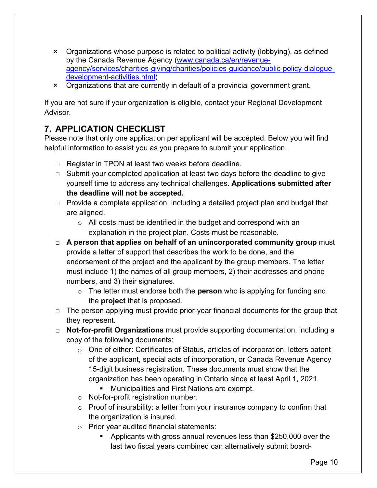- x Organizations whose purpose is related to political activity (lobbying), as defined by the Canada Revenue Agency (www.canada.ca/en/revenue[agency/services/charities-giving/charities/policies-guidance/public-policy-dialogue](http://www.canada.ca/en/revenue-agency/services/charities-giving/charities/policies-guidance/public-policy-dialogue-development-activities.html)development-activities.html)
- x Organizations that are currently in default of a provincial government grant.

If you are not sure if your organization is eligible, contact your Regional Development Advisor.

## <span id="page-9-0"></span>**7. APPLICATION CHECKLIST**

Please note that only one application per applicant will be accepted. Below you will find helpful information to assist you as you prepare to submit your application.

- □ Register in TPON at least two weeks before deadline.
- $\Box$  Submit your completed application at least two days before the deadline to give yourself time to address any technical challenges. **Applications submitted after the deadline will not be accepted.**
- □ Provide a complete application, including a detailed project plan and budget that are aligned.
	- $\circ$  All costs must be identified in the budget and correspond with an explanation in the project plan. Costs must be reasonable.
- □ **A person that applies on behalf of an unincorporated community group** must provide a letter of support that describes the work to be done, and the endorsement of the project and the applicant by the group members. The letter must include 1) the names of all group members, 2) their addresses and phone numbers, and 3) their signatures.
	- o The letter must endorse both the **person** who is applying for funding and the **project** that is proposed.
- □ The person applying must provide prior-year financial documents for the group that they represent.
- □ **Not-for-profit Organizations** must provide supporting documentation, including a copy of the following documents:
	- $\circ$  One of either: Certificates of Status, articles of incorporation, letters patent of the applicant, special acts of incorporation, or Canada Revenue Agency 15-digit business registration. These documents must show that the organization has been operating in Ontario since at least April 1, 2021.
		- Municipalities and First Nations are exempt.
	- o Not-for-profit registration number.
	- $\circ$  Proof of insurability: a letter from your insurance company to confirm that the organization is insured.
	- o Prior year audited financial statements:
		- Applicants with gross annual revenues less than \$250,000 over the last two fiscal years combined can alternatively submit board-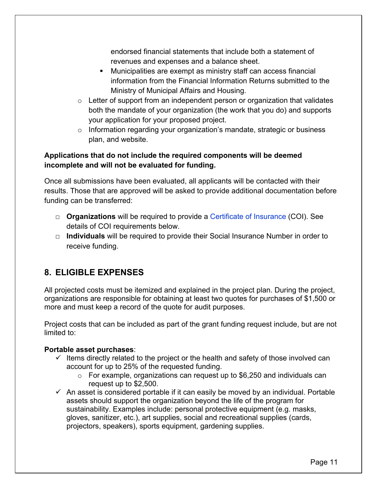endorsed financial statements that include both a statement of revenues and expenses and a balance sheet.

- Municipalities are exempt as ministry staff can access financial information from the Financial Information Returns submitted to the Ministry of Municipal Affairs and Housing.
- $\circ$  Letter of support from an independent person or organization that validates both the mandate of your organization (the work that you do) and supports your application for your proposed project.
- o Information regarding your organization's mandate, strategic or business plan, and website.

## **Applications that do not include the required components will be deemed incomplete and will not be evaluated for funding.**

Once all submissions have been evaluated, all applicants will be contacted with their results. Those that are approved will be asked to provide additional documentation before funding can be transferred:

- □ **Organizations** will be required to provide a [Certificate of Insurance](#page-21-1) (COI). See details of COI requirements below.
- □ **Individuals** will be required to provide their Social Insurance Number in order to receive funding.

## <span id="page-10-0"></span>**8. ELIGIBLE EXPENSES**

All projected costs must be itemized and explained in the project plan. During the project, organizations are responsible for obtaining at least two quotes for purchases of \$1,500 or more and must keep a record of the quote for audit purposes.

Project costs that can be included as part of the grant funding request include, but are not limited to:

## **Portable asset purchases**:

- $\checkmark$  Items directly related to the project or the health and safety of those involved can account for up to 25% of the requested funding.
	- $\circ$  For example, organizations can request up to \$6,250 and individuals can request up to \$2,500.
- $\checkmark$  An asset is considered portable if it can easily be moved by an individual. Portable assets should support the organization beyond the life of the program for sustainability. Examples include: personal protective equipment (e.g. masks, gloves, sanitizer, etc.), art supplies, social and recreational supplies (cards, projectors, speakers), sports equipment, gardening supplies.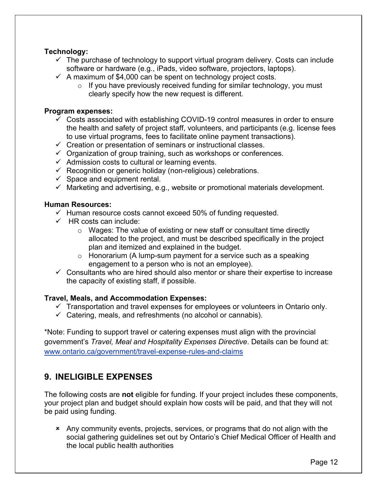#### **Technology:**

- $\checkmark$  The purchase of technology to support virtual program delivery. Costs can include software or hardware (e.g., iPads, video software, projectors, laptops).
- $\checkmark$  A maximum of \$4,000 can be spent on technology project costs.
	- $\circ$  If you have previously received funding for similar technology, you must clearly specify how the new request is different.

#### **Program expenses:**

- $\checkmark$  Costs associated with establishing COVID-19 control measures in order to ensure the health and safety of project staff, volunteers, and participants (e.g. license fees to use virtual programs, fees to facilitate online payment transactions).
- ✓ Creation or presentation of seminars or instructional classes.
- $\checkmark$  Organization of group training, such as workshops or conferences.
- $\checkmark$  Admission costs to cultural or learning events.
- $\checkmark$  Recognition or generic holiday (non-religious) celebrations.
- $\checkmark$  Space and equipment rental.
- $\checkmark$  Marketing and advertising, e.g., website or promotional materials development.

#### **Human Resources:**

- $\checkmark$  Human resource costs cannot exceed 50% of funding requested.
- $\checkmark$  HR costs can include:
	- o Wages: The value of existing or new staff or consultant time directly allocated to the project, and must be described specifically in the project plan and itemized and explained in the budget.
	- $\circ$  Honorarium (A lump-sum payment for a service such as a speaking engagement to a person who is not an employee).
- $\checkmark$  Consultants who are hired should also mentor or share their expertise to increase the capacity of existing staff, if possible.

#### **Travel, Meals, and Accommodation Expenses:**

- $\checkmark$  Transportation and travel expenses for employees or volunteers in Ontario only.
- $\checkmark$  Catering, meals, and refreshments (no alcohol or cannabis).

\*Note: Funding to support travel or catering expenses must align with the provincial government's *Travel, Meal and Hospitality Expenses Directive*. Details can be found at: [www.ontario.ca/government/travel-expense-rules-and-claims](http://www.ontario.ca/government/travel-expense-rules-and-claims)

## <span id="page-11-0"></span>**9. INELIGIBLE EXPENSES**

The following costs are **not** eligible for funding. If your project includes these components, your project plan and budget should explain how costs will be paid, and that they will not be paid using funding.

x Any community events, projects, services, or programs that do not align with the social gathering guidelines set out by Ontario's Chief Medical Officer of Health and the local public health authorities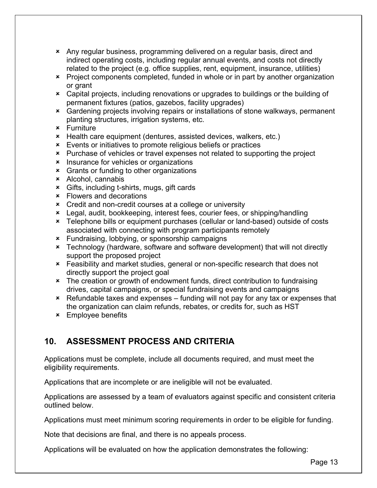- x Any regular business, programming delivered on a regular basis, direct and indirect operating costs, including regular annual events, and costs not directly related to the project (e.g. office supplies, rent, equipment, insurance, utilities)
- x Project components completed, funded in whole or in part by another organization or grant
- x Capital projects, including renovations or upgrades to buildings or the building of permanent fixtures (patios, gazebos, facility upgrades)
- x Gardening projects involving repairs or installations of stone walkways, permanent planting structures, irrigation systems, etc.
- x Furniture
- x Health care equipment (dentures, assisted devices, walkers, etc.)
- x Events or initiatives to promote religious beliefs or practices
- x Purchase of vehicles or travel expenses not related to supporting the project
- x Insurance for vehicles or organizations
- x Grants or funding to other organizations
- x Alcohol, cannabis
- x Gifts, including t-shirts, mugs, gift cards
- x Flowers and decorations
- x Credit and non-credit courses at a college or university
- x Legal, audit, bookkeeping, interest fees, courier fees, or shipping/handling
- x Telephone bills or equipment purchases (cellular or land-based) outside of costs associated with connecting with program participants remotely
- x Fundraising, lobbying, or sponsorship campaigns
- x Technology (hardware, software and software development) that will not directly support the proposed project
- x Feasibility and market studies, general or non-specific research that does not directly support the project goal
- x The creation or growth of endowment funds, direct contribution to fundraising drives, capital campaigns, or special fundraising events and campaigns
- x Refundable taxes and expenses funding will not pay for any tax or expenses that the organization can claim refunds, rebates, or credits for, such as HST
- x Employee benefits

## <span id="page-12-0"></span>**10. ASSESSMENT PROCESS AND CRITERIA**

Applications must be complete, include all documents required, and must meet the eligibility requirements.

Applications that are incomplete or are ineligible will not be evaluated.

Applications are assessed by a team of evaluators against specific and consistent criteria outlined below.

Applications must meet minimum scoring requirements in order to be eligible for funding.

Note that decisions are final, and there is no appeals process.

Applications will be evaluated on how the application demonstrates the following: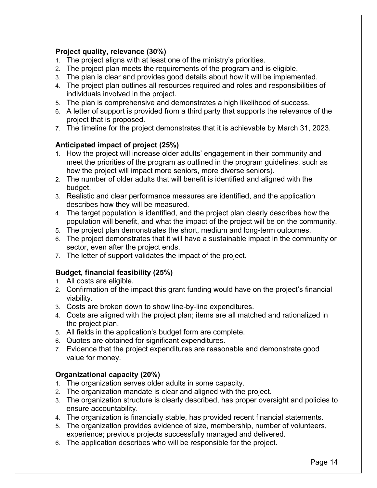## **Project quality, relevance (30%)**

- 1. The project aligns with at least one of the ministry's priorities.
- 2. The project plan meets the requirements of the program and is eligible.
- 3. The plan is clear and provides good details about how it will be implemented.
- 4. The project plan outlines all resources required and roles and responsibilities of individuals involved in the project.
- 5. The plan is comprehensive and demonstrates a high likelihood of success.
- 6. A letter of support is provided from a third party that supports the relevance of the project that is proposed.
- 7. The timeline for the project demonstrates that it is achievable by March 31, 2023.

## **Anticipated impact of project (25%)**

- 1. How the project will increase older adults' engagement in their community and meet the priorities of the program as outlined in the program guidelines, such as how the project will impact more seniors, more diverse seniors).
- 2. The number of older adults that will benefit is identified and aligned with the budget.
- 3. Realistic and clear performance measures are identified, and the application describes how they will be measured.
- 4. The target population is identified, and the project plan clearly describes how the population will benefit, and what the impact of the project will be on the community.
- 5. The project plan demonstrates the short, medium and long-term outcomes.
- 6. The project demonstrates that it will have a sustainable impact in the community or sector, even after the project ends.
- 7. The letter of support validates the impact of the project.

## **Budget, financial feasibility (25%)**

- 1. All costs are eligible.
- 2. Confirmation of the impact this grant funding would have on the project's financial viability.
- 3. Costs are broken down to show line-by-line expenditures.
- 4. Costs are aligned with the project plan; items are all matched and rationalized in the project plan.
- 5. All fields in the application's budget form are complete.
- 6. Quotes are obtained for significant expenditures.
- 7. Evidence that the project expenditures are reasonable and demonstrate good value for money.

## **Organizational capacity (20%)**

- 1. The organization serves older adults in some capacity.
- 2. The organization mandate is clear and aligned with the project.
- 3. The organization structure is clearly described, has proper oversight and policies to ensure accountability.
- 4. The organization is financially stable, has provided recent financial statements.
- 5. The organization provides evidence of size, membership, number of volunteers, experience; previous projects successfully managed and delivered.
- 6. The application describes who will be responsible for the project.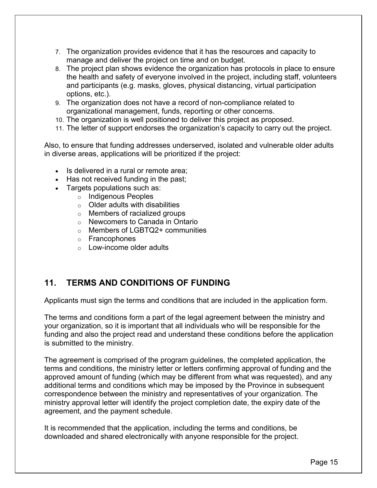- 7. The organization provides evidence that it has the resources and capacity to manage and deliver the project on time and on budget.
- 8. The project plan shows evidence the organization has protocols in place to ensure the health and safety of everyone involved in the project, including staff, volunteers and participants (e.g. masks, gloves, physical distancing, virtual participation options, etc.).
- 9. The organization does not have a record of non-compliance related to organizational management, funds, reporting or other concerns.
- 10. The organization is well positioned to deliver this project as proposed.
- 11. The letter of support endorses the organization's capacity to carry out the project.

Also, to ensure that funding addresses underserved, isolated and vulnerable older adults in diverse areas, applications will be prioritized if the project:

- Is delivered in a rural or remote area;
- Has not received funding in the past;
- Targets populations such as:
	- o Indigenous Peoples
		- $\circ$  Older adults with disabilities
		- o Members of racialized groups
		- o Newcomers to Canada in Ontario
		- o Members of LGBTQ2+ communities
		- o Francophones
		- $\circ$  Low-income older adults

## <span id="page-14-0"></span>**11. TERMS AND CONDITIONS OF FUNDING**

Applicants must sign the terms and conditions that are included in the application form.

The terms and conditions form a part of the legal agreement between the ministry and your organization, so it is important that all individuals who will be responsible for the funding and also the project read and understand these conditions before the application is submitted to the ministry.

The agreement is comprised of the program guidelines, the completed application, the terms and conditions, the ministry letter or letters confirming approval of funding and the approved amount of funding (which may be different from what was requested), and any additional terms and conditions which may be imposed by the Province in subsequent correspondence between the ministry and representatives of your organization. The ministry approval letter will identify the project completion date, the expiry date of the agreement, and the payment schedule.

It is recommended that the application, including the terms and conditions, be downloaded and shared electronically with anyone responsible for the project.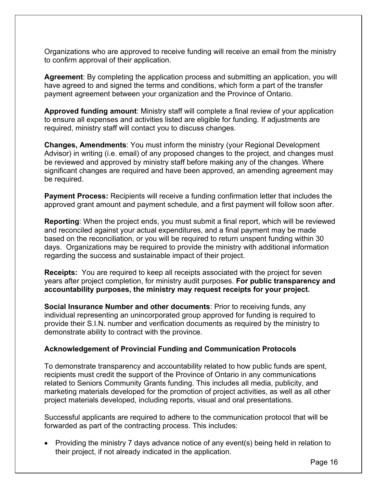Organizations who are approved to receive funding will receive an email from the ministry to confirm approval of their application.

**Agreement**: By completing the application process and submitting an application, you will have agreed to and signed the terms and conditions, which form a part of the transfer payment agreement between your organization and the Province of Ontario.

**Approved funding amount**: Ministry staff will complete a final review of your application to ensure all expenses and activities listed are eligible for funding. If adjustments are required, ministry staff will contact you to discuss changes.

**Changes, Amendments**: You must inform the ministry (your Regional Development Advisor) in writing (i.e. email) of any proposed changes to the project, and changes must be reviewed and approved by ministry staff before making any of the changes. Where significant changes are required and have been approved, an amending agreement may be required.

**Payment Process:** Recipients will receive a funding confirmation letter that includes the approved grant amount and payment schedule, and a first payment will follow soon after.

**Reporting**: When the project ends, you must submit a final report, which will be reviewed and reconciled against your actual expenditures, and a final payment may be made based on the reconciliation, or you will be required to return unspent funding within 30 days. Organizations may be required to provide the ministry with additional information regarding the success and sustainable impact of their project.

**Receipts:** You are required to keep all receipts associated with the project for seven years after project completion, for ministry audit purposes. **For public transparency and accountability purposes, the ministry may request receipts for your project.**

**Social Insurance Number and other documents**: Prior to receiving funds, any individual representing an unincorporated group approved for funding is required to provide their S.I.N. number and verification documents as required by the ministry to demonstrate ability to contract with the province.

#### <span id="page-15-0"></span>**Acknowledgement of Provincial Funding and Communication Protocols**

To demonstrate transparency and accountability related to how public funds are spent, recipients must credit the support of the Province of Ontario in any communications related to Seniors Community Grants funding. This includes all media, publicity, and marketing materials developed for the promotion of project activities, as well as all other project materials developed, including reports, visual and oral presentations.

Successful applicants are required to adhere to the communication protocol that will be forwarded as part of the contracting process. This includes:

• Providing the ministry 7 days advance notice of any event(s) being held in relation to their project, if not already indicated in the application.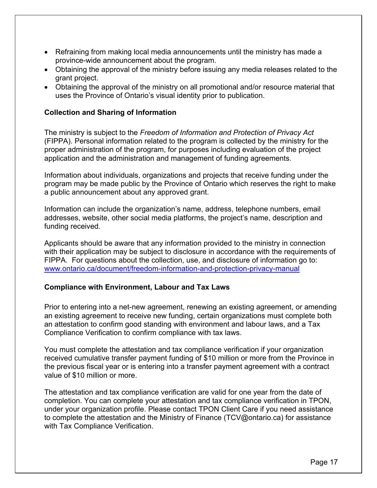- Refraining from making local media announcements until the ministry has made a province-wide announcement about the program.
- Obtaining the approval of the ministry before issuing any media releases related to the grant project.
- Obtaining the approval of the ministry on all promotional and/or resource material that uses the Province of Ontario's visual identity prior to publication.

#### <span id="page-16-0"></span>**Collection and Sharing of Information**

The ministry is subject to the *Freedom of Information and Protection of Privacy Act* (FIPPA). Personal information related to the program is collected by the ministry for the proper administration of the program, for purposes including evaluation of the project application and the administration and management of funding agreements.

Information about individuals, organizations and projects that receive funding under the program may be made public by the Province of Ontario which reserves the right to make a public announcement about any approved grant.

Information can include the organization's name, address, telephone numbers, email addresses, website, other social media platforms, the project's name, description and funding received.

Applicants should be aware that any information provided to the ministry in connection with their application may be subject to disclosure in accordance with the requirements of FIPPA. For questions about the collection, use, and disclosure of information go to: [www.ontario.ca/document/freedom-information-and-protection-privacy-manual](http://www.ontario.ca/document/freedom-information-and-protection-privacy-manual)

#### <span id="page-16-2"></span><span id="page-16-1"></span>**Compliance with Environment, Labour and Tax Laws**

Prior to entering into a net-new agreement, renewing an existing agreement, or amending an existing agreement to receive new funding, certain organizations must complete both an attestation to confirm good standing with environment and labour laws, and a Tax Compliance Verification to confirm compliance with tax laws.

You must complete the attestation and tax compliance verification if your organization received cumulative transfer payment funding of \$10 million or more from the Province in the previous fiscal year or is entering into a transfer payment agreement with a contract value of \$10 million or more.

The attestation and tax compliance verification are valid for one year from the date of completion. You can complete your attestation and tax compliance verification in TPON, under your organization profile. Please contact TPON Client Care if you need assistance to complete the attestation and the Ministry of Finance ([TCV@ontario.ca](mailto:TCV@ontario.ca)) for assistance with Tax Compliance Verification.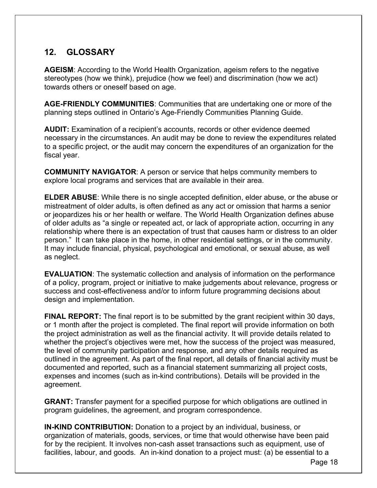## <span id="page-17-0"></span>**12. GLOSSARY**

**AGEISM**: According to the World Health Organization, ageism refers to the negative stereotypes (how we think), prejudice (how we feel) and discrimination (how we act) towards others or oneself based on age.

**AGE-FRIENDLY COMMUNITIES**: Communities that are undertaking one or more of the planning steps outlined in Ontario's Age-Friendly Communities Planning Guide.

**AUDIT:** Examination of a recipient's accounts, records or other evidence deemed necessary in the circumstances. An audit may be done to review the expenditures related to a specific project, or the audit may concern the expenditures of an organization for the fiscal year.

**COMMUNITY NAVIGATOR**: A person or service that helps community members to explore local programs and services that are available in their area.

**ELDER ABUSE**: While there is no single accepted definition, elder abuse, or the abuse or mistreatment of older adults, is often defined as any act or omission that harms a senior or jeopardizes his or her health or welfare. The World Health Organization defines abuse of older adults as "a single or repeated act, or lack of appropriate action, occurring in any relationship where there is an expectation of trust that causes harm or distress to an older person." It can take place in the home, in other residential settings, or in the community. It may include financial, physical, psychological and emotional, or sexual abuse, as well as neglect.

**EVALUATION**: The systematic collection and analysis of information on the performance of a policy, program, project or initiative to make judgements about relevance, progress or success and cost-effectiveness and/or to inform future programming decisions about design and implementation.

**FINAL REPORT:** The final report is to be submitted by the grant recipient within 30 days, or 1 month after the project is completed. The final report will provide information on both the project administration as well as the financial activity. It will provide details related to whether the project's objectives were met, how the success of the project was measured, the level of community participation and response, and any other details required as outlined in the agreement. As part of the final report, all details of financial activity must be documented and reported, such as a financial statement summarizing all project costs, expenses and incomes (such as in-kind contributions). Details will be provided in the agreement.

**GRANT:** Transfer payment for a specified purpose for which obligations are outlined in program guidelines, the agreement, and program correspondence.

**IN-KIND CONTRIBUTION:** Donation to a project by an individual, business, or organization of materials, goods, services, or time that would otherwise have been paid for by the recipient. It involves non-cash asset transactions such as equipment, use of facilities, labour, and goods. An in-kind donation to a project must: (a) be essential to a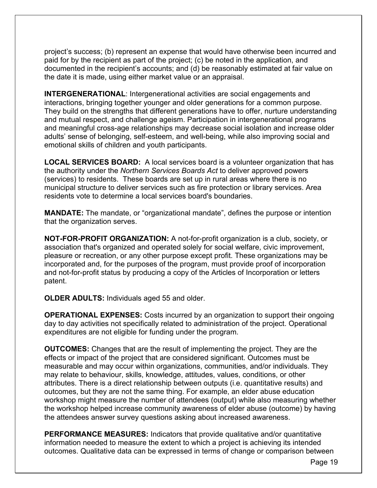project's success; (b) represent an expense that would have otherwise been incurred and paid for by the recipient as part of the project; (c) be noted in the application, and documented in the recipient's accounts; and (d) be reasonably estimated at fair value on the date it is made, using either market value or an appraisal.

**INTERGENERATIONAL**: Intergenerational activities are social engagements and interactions, bringing together younger and older generations for a common purpose. They build on the strengths that different generations have to offer, nurture understanding and mutual respect, and challenge ageism. Participation in intergenerational programs and meaningful cross-age relationships may decrease social isolation and increase older adults' sense of belonging, self-esteem, and well-being, while also improving social and emotional skills of children and youth participants.

**LOCAL SERVICES BOARD:** A local services board is a volunteer organization that has the authority under the *Northern Services Boards Act* to deliver approved powers (services) to residents. These boards are set up in rural areas where there is no municipal structure to deliver services such as fire protection or library services. Area residents vote to determine a local services board's boundaries.

**MANDATE:** The mandate, or "organizational mandate", defines the purpose or intention that the organization serves.

**NOT-FOR-PROFIT ORGANIZATION:** A not-for-profit organization is a club, society, or association that's organized and operated solely for social welfare, civic improvement, pleasure or recreation, or any other purpose except profit. These organizations may be incorporated and, for the purposes of the program, must provide proof of incorporation and not-for-profit status by producing a copy of the Articles of Incorporation or letters patent.

**OLDER ADULTS:** Individuals aged 55 and older.

**OPERATIONAL EXPENSES:** Costs incurred by an organization to support their ongoing day to day activities not specifically related to administration of the project. Operational expenditures are not eligible for funding under the program.

**OUTCOMES:** Changes that are the result of implementing the project. They are the effects or impact of the project that are considered significant. Outcomes must be measurable and may occur within organizations, communities, and/or individuals. They may relate to behaviour, skills, knowledge, attitudes, values, conditions, or other attributes. There is a direct relationship between outputs (i.e. quantitative results) and outcomes, but they are not the same thing. For example, an elder abuse education workshop might measure the number of attendees (output) while also measuring whether the workshop helped increase community awareness of elder abuse (outcome) by having the attendees answer survey questions asking about increased awareness.

**PERFORMANCE MEASURES:** Indicators that provide qualitative and/or quantitative information needed to measure the extent to which a project is achieving its intended outcomes. Qualitative data can be expressed in terms of change or comparison between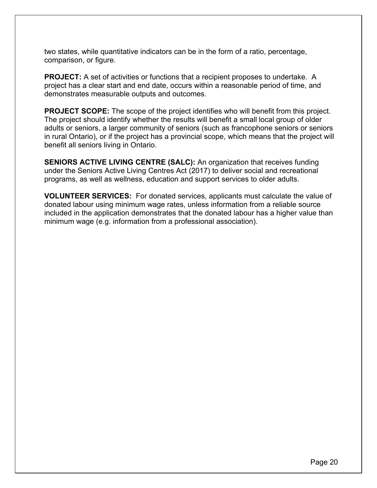two states, while quantitative indicators can be in the form of a ratio, percentage, comparison, or figure.

**PROJECT:** A set of activities or functions that a recipient proposes to undertake. A project has a clear start and end date, occurs within a reasonable period of time, and demonstrates measurable outputs and outcomes.

**PROJECT SCOPE:** The scope of the project identifies who will benefit from this project. The project should identify whether the results will benefit a small local group of older adults or seniors, a larger community of seniors (such as francophone seniors or seniors in rural Ontario), or if the project has a provincial scope, which means that the project will benefit all seniors living in Ontario.

**SENIORS ACTIVE LIVING CENTRE (SALC):** An organization that receives funding under the Seniors Active Living Centres Act (2017) to deliver social and recreational programs, as well as wellness, education and support services to older adults.

**VOLUNTEER SERVICES:** For donated services, applicants must calculate the value of donated labour using minimum wage rates, unless information from a reliable source included in the application demonstrates that the donated labour has a higher value than minimum wage (e.g. information from a professional association).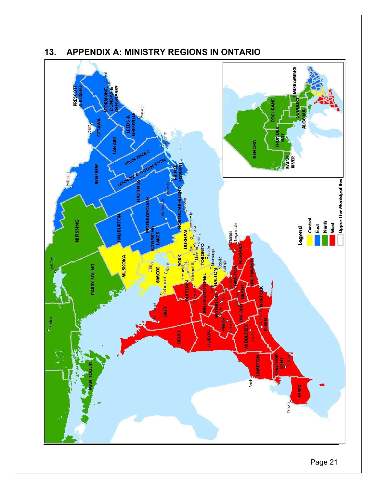

## <span id="page-20-0"></span>**13. APPENDIX A: MINISTRY REGIONS IN ONTARIO**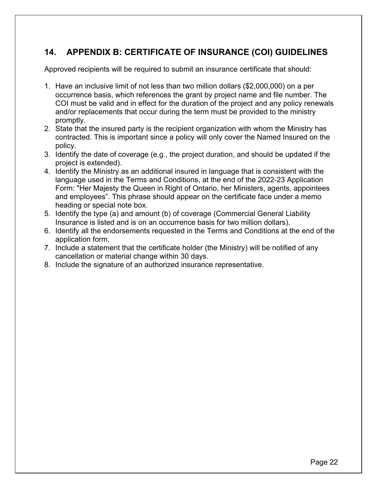## <span id="page-21-1"></span><span id="page-21-0"></span>**14. APPENDIX B: CERTIFICATE OF INSURANCE (COI) GUIDELINES**

Approved recipients will be required to submit an insurance certificate that should:

- 1. Have an inclusive limit of not less than two million dollars (\$2,000,000) on a per occurrence basis, which references the grant by project name and file number. The COI must be valid and in effect for the duration of the project and any policy renewals and/or replacements that occur during the term must be provided to the ministry promptly.
- 2. State that the insured party is the recipient organization with whom the Ministry has contracted. This is important since a policy will only cover the Named Insured on the policy.
- 3. Identify the date of coverage (e.g., the project duration, and should be updated if the project is extended).
- 4. Identify the Ministry as an additional insured in language that is consistent with the language used in the Terms and Conditions, at the end of the 2022-23 Application Form: "Her Majesty the Queen in Right of Ontario, her Ministers, agents, appointees and employees". This phrase should appear on the certificate face under a memo heading or special note box.
- 5. Identify the type (a) and amount (b) of coverage (Commercial General Liability Insurance is listed and is on an occurrence basis for two million dollars).
- 6. Identify all the endorsements requested in the Terms and Conditions at the end of the application form.
- 7. Include a statement that the certificate holder (the Ministry) will be notified of any cancellation or material change within 30 days.
- 8. Include the signature of an authorized insurance representative.